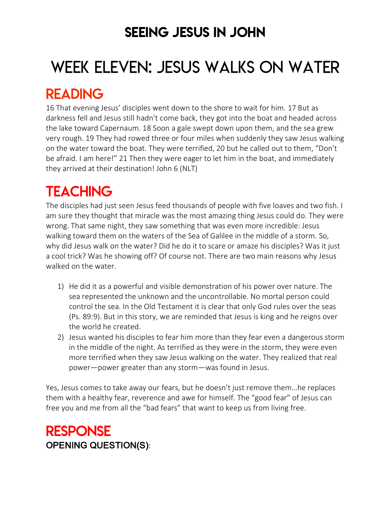### SEEING JESUS IN JOHN

# WEEK ELEVEN: JESUS WALKS ON WATER

### READING

16 That evening Jesus' disciples went down to the shore to wait for him. 17 But as darkness fell and Jesus still hadn't come back, they got into the boat and headed across the lake toward Capernaum. 18 Soon a gale swept down upon them, and the sea grew very rough. 19 They had rowed three or four miles when suddenly they saw Jesus walking on the water toward the boat. They were terrified, 20 but he called out to them, "Don't be afraid. I am here!" 21 Then they were eager to let him in the boat, and immediately they arrived at their destination! John 6 (NLT)

## **TEACHING**

The disciples had just seen Jesus feed thousands of people with five loaves and two fish. I am sure they thought that miracle was the most amazing thing Jesus could do. They were wrong. That same night, they saw something that was even more incredible: Jesus walking toward them on the waters of the Sea of Galilee in the middle of a storm. So, why did Jesus walk on the water? Did he do it to scare or amaze his disciples? Was it just a cool trick? Was he showing off? Of course not. There are two main reasons why Jesus walked on the water.

- 1) He did it as a powerful and visible demonstration of his power over nature. The sea represented the unknown and the uncontrollable. No mortal person could control the sea. In the Old Testament it is clear that only God rules over the seas (Ps. 89:9). But in this story, we are reminded that Jesus is king and he reigns over the world he created.
- 2) Jesus wanted his disciples to fear him more than they fear even a dangerous storm in the middle of the night. As terrified as they were in the storm, they were even more terrified when they saw Jesus walking on the water. They realized that real power—power greater than any storm—was found in Jesus.

Yes, Jesus comes to take away our fears, but he doesn't just remove them…he replaces them with a healthy fear, reverence and awe for himself. The "good fear" of Jesus can free you and me from all the "bad fears" that want to keep us from living free.

### RESPONSE OPENING QUESTION(S):